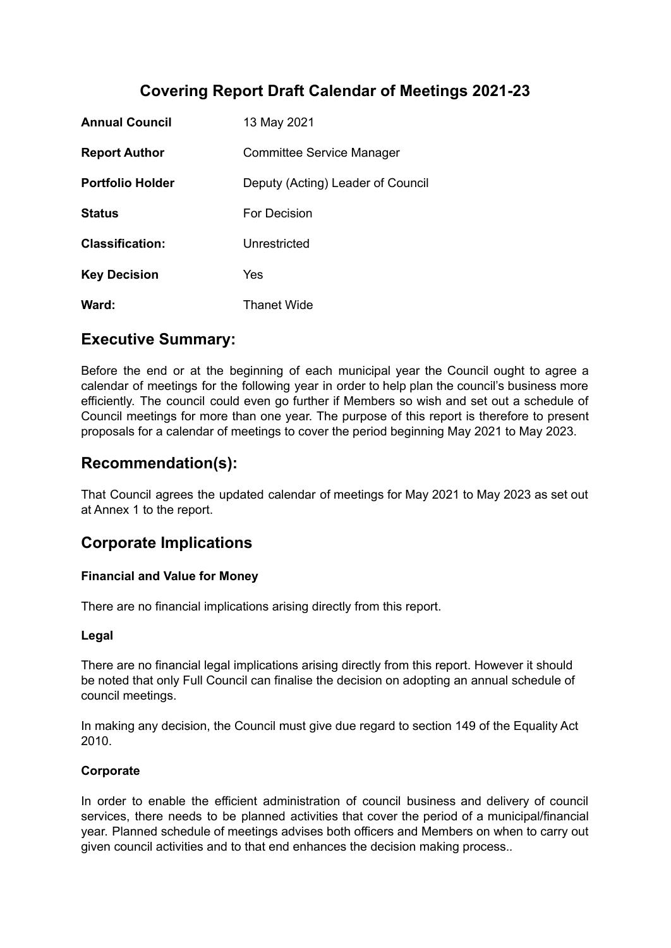# **Covering Report Draft Calendar of Meetings 2021-23**

| <b>Annual Council</b>   | 13 May 2021                       |
|-------------------------|-----------------------------------|
| <b>Report Author</b>    | <b>Committee Service Manager</b>  |
| <b>Portfolio Holder</b> | Deputy (Acting) Leader of Council |
| <b>Status</b>           | For Decision                      |
| <b>Classification:</b>  | Unrestricted                      |
| <b>Key Decision</b>     | Yes                               |
| Ward:                   | <b>Thanet Wide</b>                |

# **Executive Summary:**

Before the end or at the beginning of each municipal year the Council ought to agree a calendar of meetings for the following year in order to help plan the council's business more efficiently. The council could even go further if Members so wish and set out a schedule of Council meetings for more than one year. The purpose of this report is therefore to present proposals for a calendar of meetings to cover the period beginning May 2021 to May 2023.

# **Recommendation(s):**

That Council agrees the updated calendar of meetings for May 2021 to May 2023 as set out at Annex 1 to the report.

# **Corporate Implications**

### **Financial and Value for Money**

There are no financial implications arising directly from this report.

### **Legal**

There are no financial legal implications arising directly from this report. However it should be noted that only Full Council can finalise the decision on adopting an annual schedule of council meetings.

In making any decision, the Council must give due regard to section 149 of the Equality Act 2010.

### **Corporate**

In order to enable the efficient administration of council business and delivery of council services, there needs to be planned activities that cover the period of a municipal/financial year. Planned schedule of meetings advises both officers and Members on when to carry out given council activities and to that end enhances the decision making process.*.*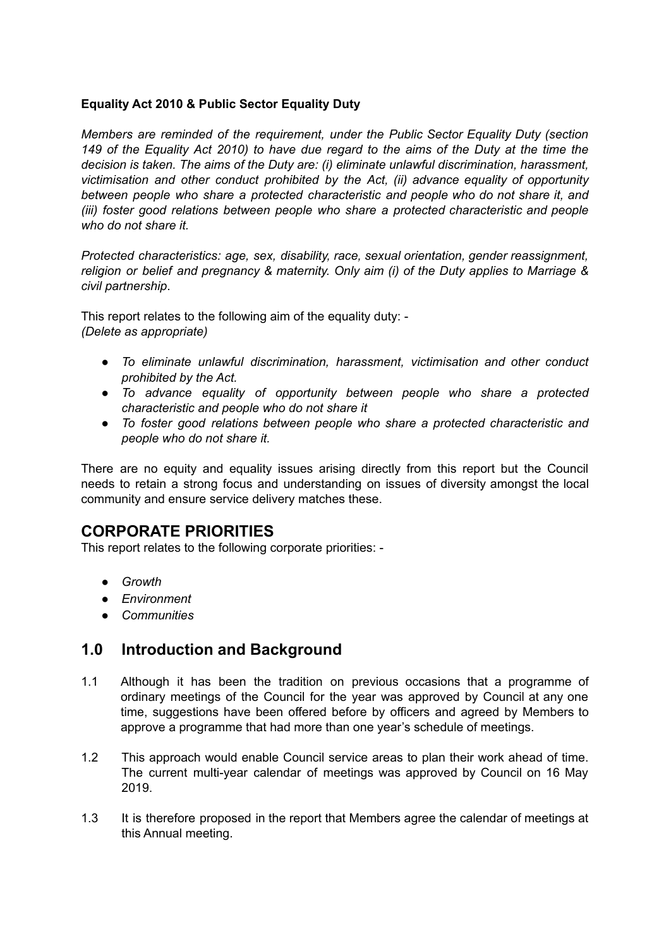#### **Equality Act 2010 & Public Sector Equality Duty**

*Members are reminded of the requirement, under the Public Sector Equality Duty (section* 149 of the Equality Act 2010) to have due regard to the aims of the Duty at the time the *decision is taken. The aims of the Duty are: (i) eliminate unlawful discrimination, harassment, victimisation and other conduct prohibited by the Act, (ii) advance equality of opportunity between people who share a protected characteristic and people who do not share it, and (iii) foster good relations between people who share a protected characteristic and people who do not share it.*

*Protected characteristics: age, sex, disability, race, sexual orientation, gender reassignment, religion or belief and pregnancy & maternity. Only aim (i) of the Duty applies to Marriage & civil partnership*.

This report relates to the following aim of the equality duty: - *(Delete as appropriate)*

- *● To eliminate unlawful discrimination, harassment, victimisation and other conduct prohibited by the Act.*
- *● To advance equality of opportunity between people who share a protected characteristic and people who do not share it*
- *● To foster good relations between people who share a protected characteristic and people who do not share it.*

There are no equity and equality issues arising directly from this report but the Council needs to retain a strong focus and understanding on issues of diversity amongst the local community and ensure service delivery matches these.

## **CORPORATE PRIORITIES**

This report relates to the following corporate priorities: -

- *● Growth*
- *● Environment*
- *● Communities*

## **1.0 Introduction and Background**

- 1.1 Although it has been the tradition on previous occasions that a programme of ordinary meetings of the Council for the year was approved by Council at any one time, suggestions have been offered before by officers and agreed by Members to approve a programme that had more than one year's schedule of meetings.
- 1.2 This approach would enable Council service areas to plan their work ahead of time. The current multi-year calendar of meetings was approved by Council on 16 May 2019.
- 1.3 It is therefore proposed in the report that Members agree the calendar of meetings at this Annual meeting.